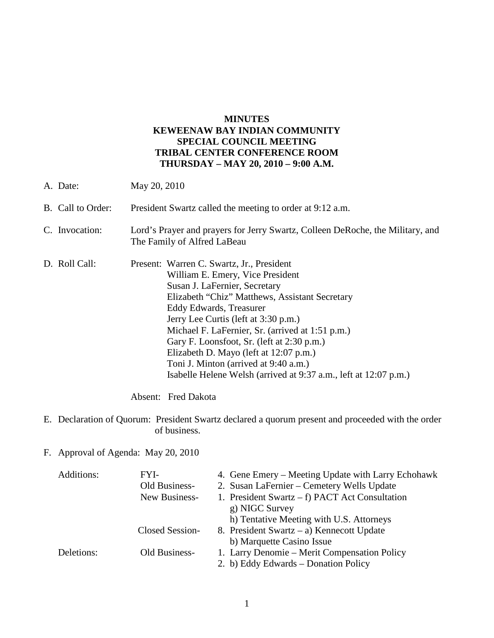# **MINUTES KEWEENAW BAY INDIAN COMMUNITY SPECIAL COUNCIL MEETING TRIBAL CENTER CONFERENCE ROOM THURSDAY – MAY 20, 2010 – 9:00 A.M.**

A. Date: May 20, 2010 B. Call to Order: President Swartz called the meeting to order at 9:12 a.m. C. Invocation: Lord's Prayer and prayers for Jerry Swartz, Colleen DeRoche, the Military, and The Family of Alfred LaBeau D. Roll Call: Present: Warren C. Swartz, Jr., President William E. Emery, Vice President Susan J. LaFernier, Secretary Elizabeth "Chiz" Matthews, Assistant Secretary Eddy Edwards, Treasurer Jerry Lee Curtis (left at 3:30 p.m.) Michael F. LaFernier, Sr. (arrived at 1:51 p.m.) Gary F. Loonsfoot, Sr. (left at 2:30 p.m.) Elizabeth D. Mayo (left at 12:07 p.m.) Toni J. Minton (arrived at 9:40 a.m.) Isabelle Helene Welsh (arrived at 9:37 a.m., left at 12:07 p.m.)

Absent: Fred Dakota

- E. Declaration of Quorum: President Swartz declared a quorum present and proceeded with the order of business.
- F. Approval of Agenda: May 20, 2010

| Additions: | FYI-            | 4. Gene Emery – Meeting Update with Larry Echohawk |
|------------|-----------------|----------------------------------------------------|
|            | Old Business-   | 2. Susan LaFernier – Cemetery Wells Update         |
|            | New Business-   | 1. President Swartz $- f$ ) PACT Act Consultation  |
|            |                 | g) NIGC Survey                                     |
|            |                 | h) Tentative Meeting with U.S. Attorneys           |
|            | Closed Session- | 8. President Swartz – a) Kennecott Update          |
|            |                 | b) Marquette Casino Issue                          |
| Deletions: | Old Business-   | 1. Larry Denomie – Merit Compensation Policy       |
|            |                 | 2. b) Eddy Edwards – Donation Policy               |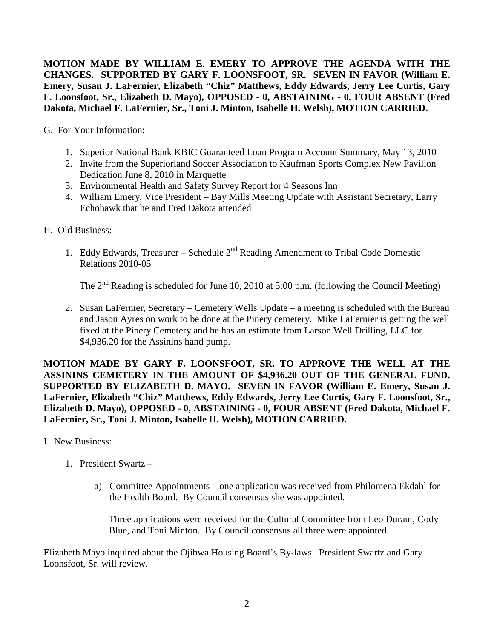**MOTION MADE BY WILLIAM E. EMERY TO APPROVE THE AGENDA WITH THE CHANGES. SUPPORTED BY GARY F. LOONSFOOT, SR. SEVEN IN FAVOR (William E. Emery, Susan J. LaFernier, Elizabeth "Chiz" Matthews, Eddy Edwards, Jerry Lee Curtis, Gary F. Loonsfoot, Sr., Elizabeth D. Mayo), OPPOSED - 0, ABSTAINING - 0, FOUR ABSENT (Fred Dakota, Michael F. LaFernier, Sr., Toni J. Minton, Isabelle H. Welsh), MOTION CARRIED.** 

G. For Your Information:

- 1. Superior National Bank KBIC Guaranteed Loan Program Account Summary, May 13, 2010
- 2. Invite from the Superiorland Soccer Association to Kaufman Sports Complex New Pavilion Dedication June 8, 2010 in Marquette
- 3. Environmental Health and Safety Survey Report for 4 Seasons Inn
- 4. William Emery, Vice President Bay Mills Meeting Update with Assistant Secretary, Larry Echohawk that he and Fred Dakota attended
- H. Old Business:
	- 1. Eddy Edwards, Treasurer Schedule 2<sup>nd</sup> Reading Amendment to Tribal Code Domestic Relations 2010-05

The  $2<sup>nd</sup>$  Reading is scheduled for June 10, 2010 at 5:00 p.m. (following the Council Meeting)

2. Susan LaFernier, Secretary – Cemetery Wells Update – a meeting is scheduled with the Bureau and Jason Ayres on work to be done at the Pinery cemetery. Mike LaFernier is getting the well fixed at the Pinery Cemetery and he has an estimate from Larson Well Drilling, LLC for \$4,936.20 for the Assinins hand pump.

**MOTION MADE BY GARY F. LOONSFOOT, SR. TO APPROVE THE WELL AT THE ASSININS CEMETERY IN THE AMOUNT OF \$4,936.20 OUT OF THE GENERAL FUND. SUPPORTED BY ELIZABETH D. MAYO. SEVEN IN FAVOR (William E. Emery, Susan J. LaFernier, Elizabeth "Chiz" Matthews, Eddy Edwards, Jerry Lee Curtis, Gary F. Loonsfoot, Sr., Elizabeth D. Mayo), OPPOSED - 0, ABSTAINING - 0, FOUR ABSENT (Fred Dakota, Michael F. LaFernier, Sr., Toni J. Minton, Isabelle H. Welsh), MOTION CARRIED.** 

- I. New Business:
	- 1. President Swartz
		- a) Committee Appointments one application was received from Philomena Ekdahl for the Health Board. By Council consensus she was appointed.

Three applications were received for the Cultural Committee from Leo Durant, Cody Blue, and Toni Minton. By Council consensus all three were appointed.

Elizabeth Mayo inquired about the Ojibwa Housing Board's By-laws. President Swartz and Gary Loonsfoot, Sr. will review.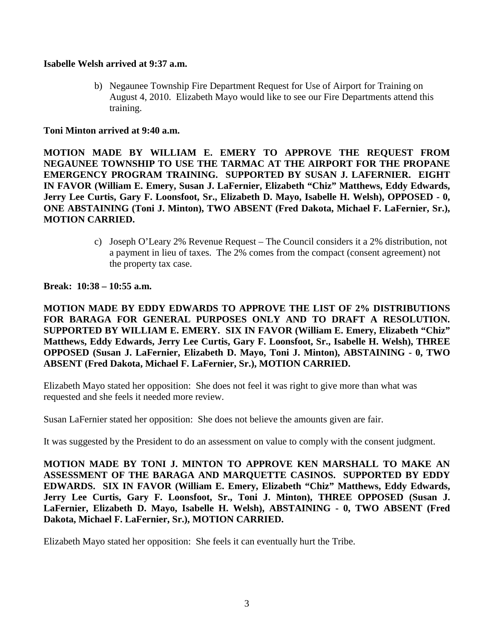### **Isabelle Welsh arrived at 9:37 a.m.**

b) Negaunee Township Fire Department Request for Use of Airport for Training on August 4, 2010. Elizabeth Mayo would like to see our Fire Departments attend this training.

### **Toni Minton arrived at 9:40 a.m.**

**MOTION MADE BY WILLIAM E. EMERY TO APPROVE THE REQUEST FROM NEGAUNEE TOWNSHIP TO USE THE TARMAC AT THE AIRPORT FOR THE PROPANE EMERGENCY PROGRAM TRAINING. SUPPORTED BY SUSAN J. LAFERNIER. EIGHT IN FAVOR (William E. Emery, Susan J. LaFernier, Elizabeth "Chiz" Matthews, Eddy Edwards, Jerry Lee Curtis, Gary F. Loonsfoot, Sr., Elizabeth D. Mayo, Isabelle H. Welsh), OPPOSED - 0, ONE ABSTAINING (Toni J. Minton), TWO ABSENT (Fred Dakota, Michael F. LaFernier, Sr.), MOTION CARRIED.**

> c) Joseph O'Leary 2% Revenue Request – The Council considers it a 2% distribution, not a payment in lieu of taxes. The 2% comes from the compact (consent agreement) not the property tax case.

#### **Break: 10:38 – 10:55 a.m.**

**MOTION MADE BY EDDY EDWARDS TO APPROVE THE LIST OF 2% DISTRIBUTIONS FOR BARAGA FOR GENERAL PURPOSES ONLY AND TO DRAFT A RESOLUTION. SUPPORTED BY WILLIAM E. EMERY. SIX IN FAVOR (William E. Emery, Elizabeth "Chiz" Matthews, Eddy Edwards, Jerry Lee Curtis, Gary F. Loonsfoot, Sr., Isabelle H. Welsh), THREE OPPOSED (Susan J. LaFernier, Elizabeth D. Mayo, Toni J. Minton), ABSTAINING - 0, TWO ABSENT (Fred Dakota, Michael F. LaFernier, Sr.), MOTION CARRIED.**

Elizabeth Mayo stated her opposition: She does not feel it was right to give more than what was requested and she feels it needed more review.

Susan LaFernier stated her opposition: She does not believe the amounts given are fair.

It was suggested by the President to do an assessment on value to comply with the consent judgment.

**MOTION MADE BY TONI J. MINTON TO APPROVE KEN MARSHALL TO MAKE AN ASSESSMENT OF THE BARAGA AND MARQUETTE CASINOS. SUPPORTED BY EDDY EDWARDS. SIX IN FAVOR (William E. Emery, Elizabeth "Chiz" Matthews, Eddy Edwards, Jerry Lee Curtis, Gary F. Loonsfoot, Sr., Toni J. Minton), THREE OPPOSED (Susan J. LaFernier, Elizabeth D. Mayo, Isabelle H. Welsh), ABSTAINING - 0, TWO ABSENT (Fred Dakota, Michael F. LaFernier, Sr.), MOTION CARRIED.** 

Elizabeth Mayo stated her opposition: She feels it can eventually hurt the Tribe.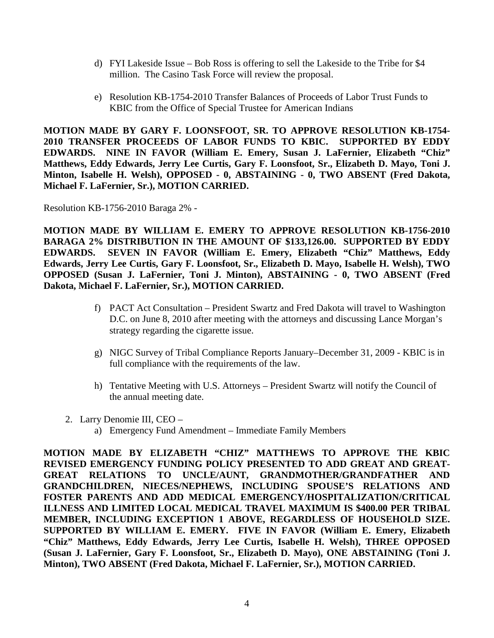- d) FYI Lakeside Issue Bob Ross is offering to sell the Lakeside to the Tribe for \$4 million. The Casino Task Force will review the proposal.
- e) Resolution KB-1754-2010 Transfer Balances of Proceeds of Labor Trust Funds to KBIC from the Office of Special Trustee for American Indians

**MOTION MADE BY GARY F. LOONSFOOT, SR. TO APPROVE RESOLUTION KB-1754- 2010 TRANSFER PROCEEDS OF LABOR FUNDS TO KBIC. SUPPORTED BY EDDY EDWARDS. NINE IN FAVOR (William E. Emery, Susan J. LaFernier, Elizabeth "Chiz" Matthews, Eddy Edwards, Jerry Lee Curtis, Gary F. Loonsfoot, Sr., Elizabeth D. Mayo, Toni J. Minton, Isabelle H. Welsh), OPPOSED - 0, ABSTAINING - 0, TWO ABSENT (Fred Dakota, Michael F. LaFernier, Sr.), MOTION CARRIED.**

Resolution KB-1756-2010 Baraga 2% -

**MOTION MADE BY WILLIAM E. EMERY TO APPROVE RESOLUTION KB-1756-2010 BARAGA 2% DISTRIBUTION IN THE AMOUNT OF \$133,126.00. SUPPORTED BY EDDY EDWARDS. SEVEN IN FAVOR (William E. Emery, Elizabeth "Chiz" Matthews, Eddy Edwards, Jerry Lee Curtis, Gary F. Loonsfoot, Sr., Elizabeth D. Mayo, Isabelle H. Welsh), TWO OPPOSED (Susan J. LaFernier, Toni J. Minton), ABSTAINING - 0, TWO ABSENT (Fred Dakota, Michael F. LaFernier, Sr.), MOTION CARRIED.** 

- f) PACT Act Consultation President Swartz and Fred Dakota will travel to Washington D.C. on June 8, 2010 after meeting with the attorneys and discussing Lance Morgan's strategy regarding the cigarette issue.
- g) NIGC Survey of Tribal Compliance Reports January–December 31, 2009 KBIC is in full compliance with the requirements of the law.
- h) Tentative Meeting with U.S. Attorneys President Swartz will notify the Council of the annual meeting date.
- 2. Larry Denomie III, CEO
	- a) Emergency Fund Amendment Immediate Family Members

**MOTION MADE BY ELIZABETH "CHIZ" MATTHEWS TO APPROVE THE KBIC REVISED EMERGENCY FUNDING POLICY PRESENTED TO ADD GREAT AND GREAT-GREAT RELATIONS TO UNCLE/AUNT, GRANDMOTHER/GRANDFATHER AND GRANDCHILDREN, NIECES/NEPHEWS, INCLUDING SPOUSE'S RELATIONS AND FOSTER PARENTS AND ADD MEDICAL EMERGENCY/HOSPITALIZATION/CRITICAL ILLNESS AND LIMITED LOCAL MEDICAL TRAVEL MAXIMUM IS \$400.00 PER TRIBAL MEMBER, INCLUDING EXCEPTION 1 ABOVE, REGARDLESS OF HOUSEHOLD SIZE. SUPPORTED BY WILLIAM E. EMERY. FIVE IN FAVOR (William E. Emery, Elizabeth "Chiz" Matthews, Eddy Edwards, Jerry Lee Curtis, Isabelle H. Welsh), THREE OPPOSED (Susan J. LaFernier, Gary F. Loonsfoot, Sr., Elizabeth D. Mayo), ONE ABSTAINING (Toni J. Minton), TWO ABSENT (Fred Dakota, Michael F. LaFernier, Sr.), MOTION CARRIED.**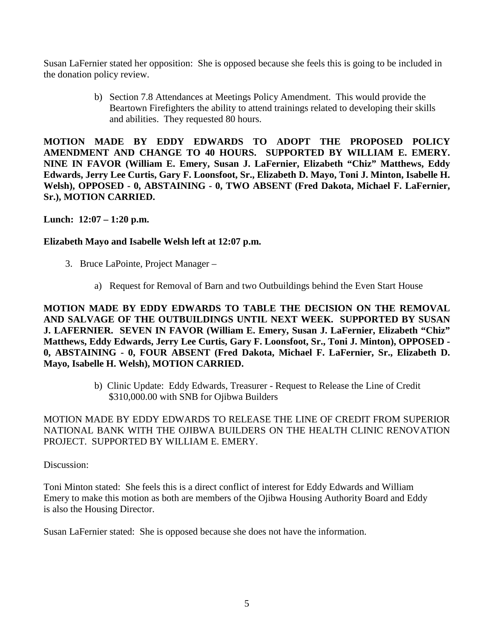Susan LaFernier stated her opposition: She is opposed because she feels this is going to be included in the donation policy review.

> b) Section 7.8 Attendances at Meetings Policy Amendment. This would provide the Beartown Firefighters the ability to attend trainings related to developing their skills and abilities. They requested 80 hours.

**MOTION MADE BY EDDY EDWARDS TO ADOPT THE PROPOSED POLICY AMENDMENT AND CHANGE TO 40 HOURS. SUPPORTED BY WILLIAM E. EMERY. NINE IN FAVOR (William E. Emery, Susan J. LaFernier, Elizabeth "Chiz" Matthews, Eddy Edwards, Jerry Lee Curtis, Gary F. Loonsfoot, Sr., Elizabeth D. Mayo, Toni J. Minton, Isabelle H. Welsh), OPPOSED - 0, ABSTAINING - 0, TWO ABSENT (Fred Dakota, Michael F. LaFernier, Sr.), MOTION CARRIED.**

**Lunch: 12:07 – 1:20 p.m.** 

# **Elizabeth Mayo and Isabelle Welsh left at 12:07 p.m.**

- 3. Bruce LaPointe, Project Manager
	- a) Request for Removal of Barn and two Outbuildings behind the Even Start House

**MOTION MADE BY EDDY EDWARDS TO TABLE THE DECISION ON THE REMOVAL AND SALVAGE OF THE OUTBUILDINGS UNTIL NEXT WEEK. SUPPORTED BY SUSAN J. LAFERNIER. SEVEN IN FAVOR (William E. Emery, Susan J. LaFernier, Elizabeth "Chiz" Matthews, Eddy Edwards, Jerry Lee Curtis, Gary F. Loonsfoot, Sr., Toni J. Minton), OPPOSED - 0, ABSTAINING - 0, FOUR ABSENT (Fred Dakota, Michael F. LaFernier, Sr., Elizabeth D. Mayo, Isabelle H. Welsh), MOTION CARRIED.** 

> b) Clinic Update: Eddy Edwards, Treasurer - Request to Release the Line of Credit \$310,000.00 with SNB for Ojibwa Builders

MOTION MADE BY EDDY EDWARDS TO RELEASE THE LINE OF CREDIT FROM SUPERIOR NATIONAL BANK WITH THE OJIBWA BUILDERS ON THE HEALTH CLINIC RENOVATION PROJECT. SUPPORTED BY WILLIAM E. EMERY.

## Discussion:

Toni Minton stated: She feels this is a direct conflict of interest for Eddy Edwards and William Emery to make this motion as both are members of the Ojibwa Housing Authority Board and Eddy is also the Housing Director.

Susan LaFernier stated: She is opposed because she does not have the information.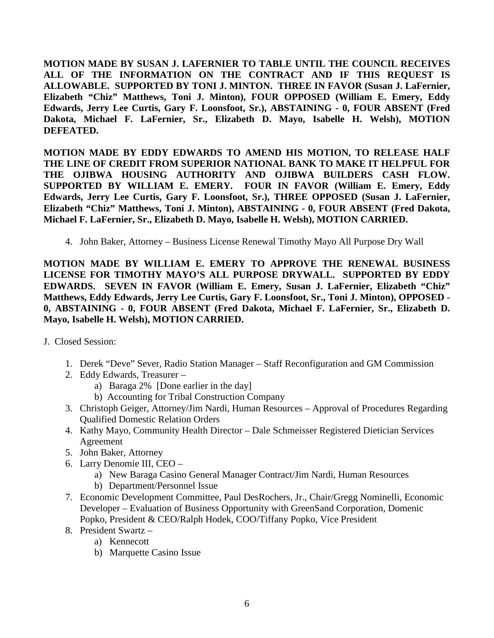**MOTION MADE BY SUSAN J. LAFERNIER TO TABLE UNTIL THE COUNCIL RECEIVES ALL OF THE INFORMATION ON THE CONTRACT AND IF THIS REQUEST IS ALLOWABLE. SUPPORTED BY TONI J. MINTON. THREE IN FAVOR (Susan J. LaFernier, Elizabeth "Chiz" Matthews, Toni J. Minton), FOUR OPPOSED (William E. Emery, Eddy Edwards, Jerry Lee Curtis, Gary F. Loonsfoot, Sr.), ABSTAINING - 0, FOUR ABSENT (Fred Dakota, Michael F. LaFernier, Sr., Elizabeth D. Mayo, Isabelle H. Welsh), MOTION DEFEATED.**

**MOTION MADE BY EDDY EDWARDS TO AMEND HIS MOTION, TO RELEASE HALF THE LINE OF CREDIT FROM SUPERIOR NATIONAL BANK TO MAKE IT HELPFUL FOR THE OJIBWA HOUSING AUTHORITY AND OJIBWA BUILDERS CASH FLOW. SUPPORTED BY WILLIAM E. EMERY. FOUR IN FAVOR (William E. Emery, Eddy Edwards, Jerry Lee Curtis, Gary F. Loonsfoot, Sr.), THREE OPPOSED (Susan J. LaFernier, Elizabeth "Chiz" Matthews, Toni J. Minton), ABSTAINING - 0, FOUR ABSENT (Fred Dakota, Michael F. LaFernier, Sr., Elizabeth D. Mayo, Isabelle H. Welsh), MOTION CARRIED.**

4. John Baker, Attorney – Business License Renewal Timothy Mayo All Purpose Dry Wall

**MOTION MADE BY WILLIAM E. EMERY TO APPROVE THE RENEWAL BUSINESS LICENSE FOR TIMOTHY MAYO'S ALL PURPOSE DRYWALL. SUPPORTED BY EDDY EDWARDS. SEVEN IN FAVOR (William E. Emery, Susan J. LaFernier, Elizabeth "Chiz" Matthews, Eddy Edwards, Jerry Lee Curtis, Gary F. Loonsfoot, Sr., Toni J. Minton), OPPOSED - 0, ABSTAINING - 0, FOUR ABSENT (Fred Dakota, Michael F. LaFernier, Sr., Elizabeth D. Mayo, Isabelle H. Welsh), MOTION CARRIED.** 

- J. Closed Session:
	- 1. Derek "Deve" Sever, Radio Station Manager Staff Reconfiguration and GM Commission
	- 2. Eddy Edwards, Treasurer
		- a) Baraga 2% [Done earlier in the day]
		- b) Accounting for Tribal Construction Company
	- 3. Christoph Geiger, Attorney/Jim Nardi, Human Resources Approval of Procedures Regarding Qualified Domestic Relation Orders
	- 4. Kathy Mayo, Community Health Director Dale Schmeisser Registered Dietician Services Agreement
	- 5. John Baker, Attorney
	- 6. Larry Denomie III, CEO
		- a) New Baraga Casino General Manager Contract/Jim Nardi, Human Resources
		- b) Department/Personnel Issue
	- 7. Economic Development Committee, Paul DesRochers, Jr., Chair/Gregg Nominelli, Economic Developer – Evaluation of Business Opportunity with GreenSand Corporation, Domenic Popko, President & CEO/Ralph Hodek, COO/Tiffany Popko, Vice President
	- 8. President Swartz
		- a) Kennecott
		- b) Marquette Casino Issue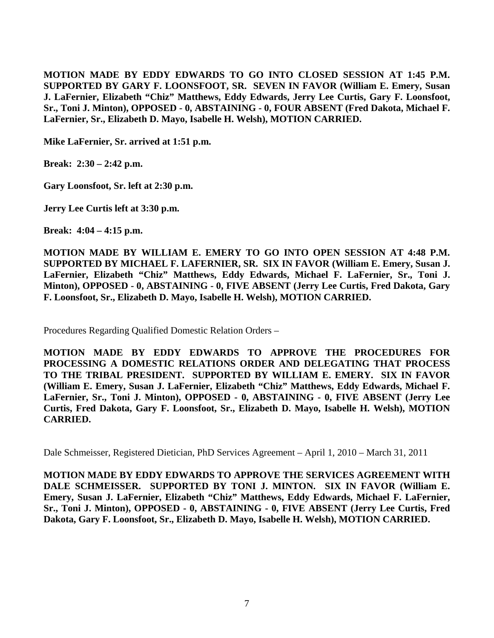**MOTION MADE BY EDDY EDWARDS TO GO INTO CLOSED SESSION AT 1:45 P.M. SUPPORTED BY GARY F. LOONSFOOT, SR. SEVEN IN FAVOR (William E. Emery, Susan J. LaFernier, Elizabeth "Chiz" Matthews, Eddy Edwards, Jerry Lee Curtis, Gary F. Loonsfoot, Sr., Toni J. Minton), OPPOSED - 0, ABSTAINING - 0, FOUR ABSENT (Fred Dakota, Michael F. LaFernier, Sr., Elizabeth D. Mayo, Isabelle H. Welsh), MOTION CARRIED.** 

**Mike LaFernier, Sr. arrived at 1:51 p.m.** 

**Break: 2:30 – 2:42 p.m.** 

**Gary Loonsfoot, Sr. left at 2:30 p.m.** 

**Jerry Lee Curtis left at 3:30 p.m.** 

**Break: 4:04 – 4:15 p.m.**

**MOTION MADE BY WILLIAM E. EMERY TO GO INTO OPEN SESSION AT 4:48 P.M. SUPPORTED BY MICHAEL F. LAFERNIER, SR. SIX IN FAVOR (William E. Emery, Susan J. LaFernier, Elizabeth "Chiz" Matthews, Eddy Edwards, Michael F. LaFernier, Sr., Toni J. Minton), OPPOSED - 0, ABSTAINING - 0, FIVE ABSENT (Jerry Lee Curtis, Fred Dakota, Gary F. Loonsfoot, Sr., Elizabeth D. Mayo, Isabelle H. Welsh), MOTION CARRIED.** 

Procedures Regarding Qualified Domestic Relation Orders –

**MOTION MADE BY EDDY EDWARDS TO APPROVE THE PROCEDURES FOR PROCESSING A DOMESTIC RELATIONS ORDER AND DELEGATING THAT PROCESS TO THE TRIBAL PRESIDENT. SUPPORTED BY WILLIAM E. EMERY. SIX IN FAVOR (William E. Emery, Susan J. LaFernier, Elizabeth "Chiz" Matthews, Eddy Edwards, Michael F. LaFernier, Sr., Toni J. Minton), OPPOSED - 0, ABSTAINING - 0, FIVE ABSENT (Jerry Lee Curtis, Fred Dakota, Gary F. Loonsfoot, Sr., Elizabeth D. Mayo, Isabelle H. Welsh), MOTION CARRIED.**

Dale Schmeisser, Registered Dietician, PhD Services Agreement – April 1, 2010 – March 31, 2011

**MOTION MADE BY EDDY EDWARDS TO APPROVE THE SERVICES AGREEMENT WITH DALE SCHMEISSER. SUPPORTED BY TONI J. MINTON. SIX IN FAVOR (William E. Emery, Susan J. LaFernier, Elizabeth "Chiz" Matthews, Eddy Edwards, Michael F. LaFernier, Sr., Toni J. Minton), OPPOSED - 0, ABSTAINING - 0, FIVE ABSENT (Jerry Lee Curtis, Fred Dakota, Gary F. Loonsfoot, Sr., Elizabeth D. Mayo, Isabelle H. Welsh), MOTION CARRIED.**